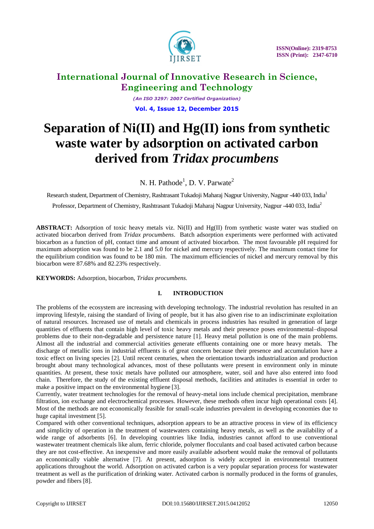

*(An ISO 3297: 2007 Certified Organization)* **Vol. 4, Issue 12, December 2015**

# **Separation of Ni(II) and Hg(II) ions from synthetic waste water by adsorption on activated carbon derived from** *Tridax procumbens*

N. H. Pathode<sup>1</sup>, D. V. Parwate<sup>2</sup>

Research student, Department of Chemistry, Rashtrasant Tukadoji Maharaj Nagpur University, Nagpur -440 033, India<sup>1</sup>

Professor, Department of Chemistry, Rashtrasant Tukadoji Maharaj Nagpur University, Nagpur -440 033, India<sup>2</sup>

**ABSTRACT:** Adsorption of toxic heavy metals viz. Ni(II) and Hg(II) from synthetic waste water was studied on activated biocarbon derived from *Tridax procumbens*. Batch adsorption experiments were performed with activated biocarbon as a function of pH, contact time and amount of activated biocarbon. The most favourable pH required for maximum adsorption was found to be 2.1 and 5.0 for nickel and mercury respectively. The maximum contact time for the equilibrium condition was found to be 180 min. The maximum efficiencies of nickel and mercury removal by this biocarbon were 87.68% and 82.23% respectively.

**KEYWORDS:** Adsorption, biocarbon, *Tridax procumbens.*

## **I. INTRODUCTION**

The problems of the ecosystem are increasing with developing technology. The industrial revolution has resulted in an improving lifestyle, raising the standard of living of people, but it has also given rise to an indiscriminate exploitation of natural resources. Increased use of metals and chemicals in process industries has resulted in generation of large quantities of effluents that contain high level of toxic heavy metals and their presence poses environmental–disposal problems due to their non-degradable and persistence nature [1]. Heavy metal pollution is one of the main problems. Almost all the industrial and commercial activities generate effluents containing one or more heavy metals. The discharge of metallic ions in industrial effluents is of great concern because their presence and accumulation have a toxic effect on living species [2]. Until recent centuries, when the orientation towards industrialization and production brought about many technological advances, most of these pollutants were present in environment only in minute quantities. At present, these toxic metals have polluted our atmosphere, water, soil and have also entered into food chain. Therefore, the study of the existing effluent disposal methods, facilities and attitudes is essential in order to make a positive impact on the environmental hygiene [3].

Currently, water treatment technologies for the removal of heavy-metal ions include chemical precipitation, membrane filtration, ion exchange and electrochemical processes. However, these methods often incur high operational costs [4]. Most of the methods are not economically feasible for small-scale industries prevalent in developing economies due to huge capital investment [5].

Compared with other conventional techniques, adsorption appears to be an attractive process in view of its efficiency and simplicity of operation in the treatment of wastewaters containing heavy metals, as well as the availability of a wide range of adsorbents [6]. In developing countries like India, industries cannot afford to use conventional wastewater treatment chemicals like alum, ferric chloride, polymer flocculants and coal based activated carbon because they are not cost-effective. An inexpensive and more easily available adsorbent would make the removal of pollutants an economically viable alternative [7]. At present, adsorption is widely accepted in environmental treatment applications throughout the world. Adsorption on activated carbon is a very popular separation process for wastewater treatment as well as the purification of drinking water. Activated carbon is normally produced in the forms of granules, powder and fibers [8].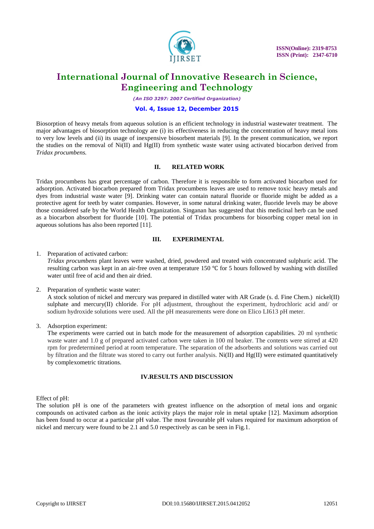

*(An ISO 3297: 2007 Certified Organization)*

#### **Vol. 4, Issue 12, December 2015**

Biosorption of heavy metals from aqueous solution is an efficient technology in industrial wastewater treatment. The major advantages of biosorption technology are (i) its effectiveness in reducing the concentration of heavy metal ions to very low levels and (ii) its usage of inexpensive biosorbent materials [9]. In the present communication, we report the studies on the removal of  $Ni(II)$  and  $Hg(II)$  from synthetic waste water using activated biocarbon derived from *Tridax procumbens.*

## **II. RELATED WORK**

Tridax procumbens has great percentage of carbon. Therefore it is responsible to form activated biocarbon used for adsorption. Activated biocarbon prepared from Tridax procumbens leaves are used to remove toxic heavy metals and dyes from industrial waste water [9]. Drinking water can contain natural fluoride or fluoride might be added as a protective agent for teeth by water companies. However, in some natural drinking water, fluoride levels may be above those considered safe by the World Health Organization. Singanan has suggested that this medicinal herb can be used as a biocarbon absorbent for fluoride [10]. The potential of Tridax procumbens for biosorbing copper metal ion in aqueous solutions has also been reported [11].

## **III. EXPERIMENTAL**

#### 1. Preparation of activated carbon:

*Tridax procumbens* plant leaves were washed, dried, powdered and treated with concentrated sulphuric acid. The resulting carbon was kept in an air-free oven at temperature 150 ℃ for 5 hours followed by washing with distilled water until free of acid and then air dried.

## 2. Preparation of synthetic waste water:

A stock solution of nickel and mercury was prepared in distilled water with AR Grade (s. d. Fine Chem.) nickel(II) sulphate and mercury(II) chloride. For pH adjustment, throughout the experiment, hydrochloric acid and/ or sodium hydroxide solutions were used. All the pH measurements were done on Elico LI613 pH meter.

3. Adsorption experiment:

The experiments were carried out in batch mode for the measurement of adsorption capabilities. 20 ml synthetic waste water and 1.0 g of prepared activated carbon were taken in 100 ml beaker. The contents were stirred at 420 rpm for predetermined period at room temperature. The separation of the adsorbents and solutions was carried out by filtration and the filtrate was stored to carry out further analysis.  $Ni(II)$  and  $Hg(II)$  were estimated quantitatively by complexometric titrations.

## **IV.RESULTS AND DISCUSSION**

Effect of pH:

The solution pH is one of the parameters with greatest influence on the adsorption of metal ions and organic compounds on activated carbon as the ionic activity plays the major role in metal uptake [12]. Maximum adsorption has been found to occur at a particular pH value. The most favourable pH values required for maximum adsorption of nickel and mercury were found to be 2.1 and 5.0 respectively as can be seen in Fig.1.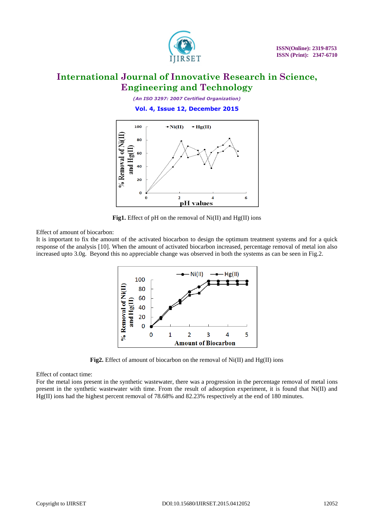

*(An ISO 3297: 2007 Certified Organization)* **Vol. 4, Issue 12, December 2015**



Fig1. Effect of pH on the removal of Ni(II) and Hg(II) ions

Effect of amount of biocarbon:

It is important to fix the amount of the activated biocarbon to design the optimum treatment systems and for a quick response of the analysis [10]. When the amount of activated biocarbon increased, percentage removal of metal ion also increased upto 3.0g. Beyond this no appreciable change was observed in both the systems as can be seen in Fig.2.



**Fig2.** Effect of amount of biocarbon on the removal of Ni(II) and Hg(II) ions

Effect of contact time:

For the metal ions present in the synthetic wastewater, there was a progression in the percentage removal of metal ions present in the synthetic wastewater with time. From the result of adsorption experiment, it is found that Ni(II) and Hg(II) ions had the highest percent removal of 78.68% and 82.23% respectively at the end of 180 minutes.